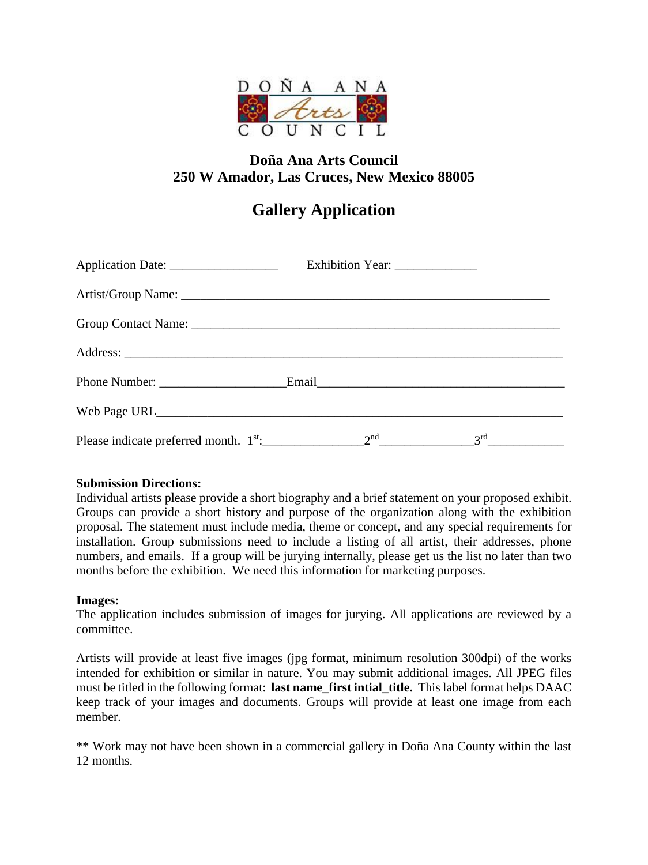

# **Doña Ana Arts Council 250 W Amador, Las Cruces, New Mexico 88005**

# **Gallery Application**

| Application Date: _____________________                                                                                     | Exhibition Year: _______________ |  |
|-----------------------------------------------------------------------------------------------------------------------------|----------------------------------|--|
|                                                                                                                             |                                  |  |
|                                                                                                                             |                                  |  |
|                                                                                                                             |                                  |  |
|                                                                                                                             |                                  |  |
|                                                                                                                             |                                  |  |
| Please indicate preferred month. $1^{st}$ : 2 <sup>nd</sup> 2 <sup>nd</sup> 3 <sup>rd</sup> 3 <sup>rd</sup> 3 <sup>rd</sup> |                                  |  |

### **Submission Directions:**

Individual artists please provide a short biography and a brief statement on your proposed exhibit. Groups can provide a short history and purpose of the organization along with the exhibition proposal. The statement must include media, theme or concept, and any special requirements for installation. Group submissions need to include a listing of all artist, their addresses, phone numbers, and emails. If a group will be jurying internally, please get us the list no later than two months before the exhibition. We need this information for marketing purposes.

#### **Images:**

The application includes submission of images for jurying. All applications are reviewed by a committee.

Artists will provide at least five images (jpg format, minimum resolution 300dpi) of the works intended for exhibition or similar in nature. You may submit additional images. All JPEG files must be titled in the following format: **last name first intial title.** This label format helps DAAC keep track of your images and documents. Groups will provide at least one image from each member.

\*\* Work may not have been shown in a commercial gallery in Doña Ana County within the last 12 months.